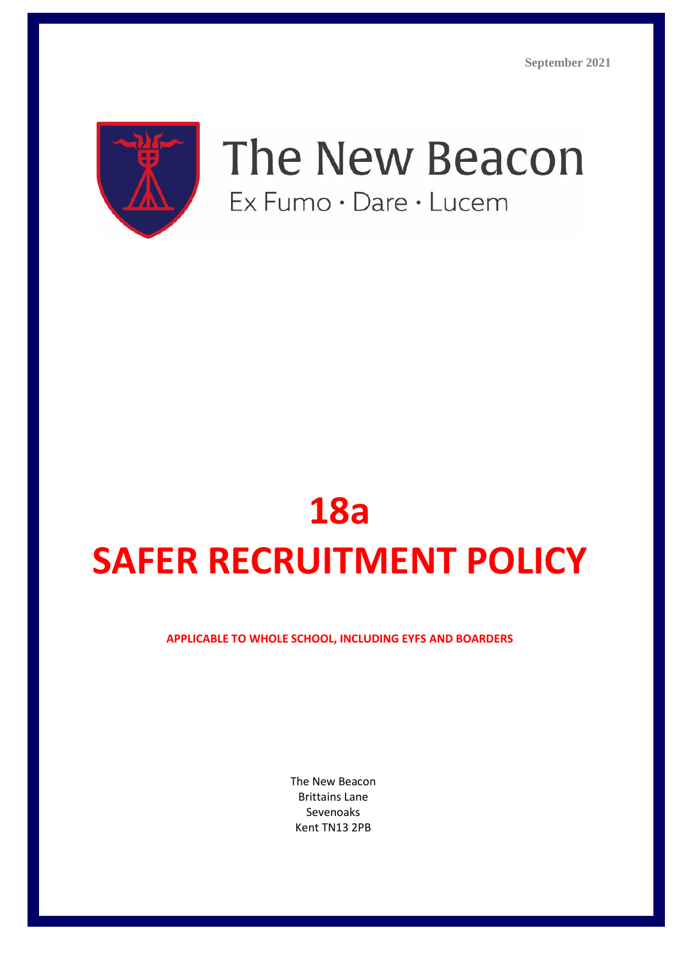

# The New Beacon Ex Fumo · Dare · Lucem

# **18a SAFER RECRUITMENT POLICY**

**APPLICABLE TO WHOLE SCHOOL, INCLUDING EYFS AND BOARDERS**

The New Beacon Brittains Lane Sevenoaks Kent TN13 2PB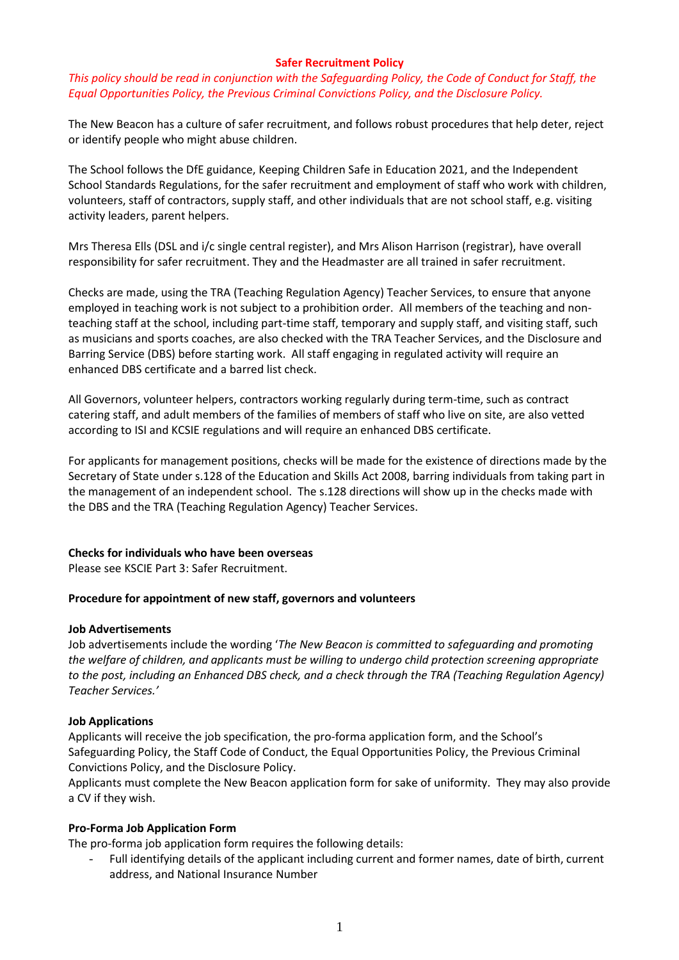#### **Safer Recruitment Policy**

*This policy should be read in conjunction with the Safeguarding Policy, the Code of Conduct for Staff, the Equal Opportunities Policy, the Previous Criminal Convictions Policy, and the Disclosure Policy.*

The New Beacon has a culture of safer recruitment, and follows robust procedures that help deter, reject or identify people who might abuse children.

The School follows the DfE guidance, Keeping Children Safe in Education 2021, and the Independent School Standards Regulations, for the safer recruitment and employment of staff who work with children, volunteers, staff of contractors, supply staff, and other individuals that are not school staff, e.g. visiting activity leaders, parent helpers.

Mrs Theresa Ells (DSL and i/c single central register), and Mrs Alison Harrison (registrar), have overall responsibility for safer recruitment. They and the Headmaster are all trained in safer recruitment.

Checks are made, using the TRA (Teaching Regulation Agency) Teacher Services, to ensure that anyone employed in teaching work is not subject to a prohibition order. All members of the teaching and nonteaching staff at the school, including part-time staff, temporary and supply staff, and visiting staff, such as musicians and sports coaches, are also checked with the TRA Teacher Services, and the Disclosure and Barring Service (DBS) before starting work. All staff engaging in regulated activity will require an enhanced DBS certificate and a barred list check.

All Governors, volunteer helpers, contractors working regularly during term-time, such as contract catering staff, and adult members of the families of members of staff who live on site, are also vetted according to ISI and KCSIE regulations and will require an enhanced DBS certificate.

For applicants for management positions, checks will be made for the existence of directions made by the Secretary of State under s.128 of the Education and Skills Act 2008, barring individuals from taking part in the management of an independent school. The s.128 directions will show up in the checks made with the DBS and the TRA (Teaching Regulation Agency) Teacher Services.

#### **Checks for individuals who have been overseas**

Please see KSCIE Part 3: Safer Recruitment.

#### **Procedure for appointment of new staff, governors and volunteers**

#### **Job Advertisements**

Job advertisements include the wording '*The New Beacon is committed to safeguarding and promoting the welfare of children, and applicants must be willing to undergo child protection screening appropriate to the post, including an Enhanced DBS check, and a check through the TRA (Teaching Regulation Agency) Teacher Services.'*

#### **Job Applications**

Applicants will receive the job specification, the pro-forma application form, and the School's Safeguarding Policy, the Staff Code of Conduct, the Equal Opportunities Policy, the Previous Criminal Convictions Policy, and the Disclosure Policy.

Applicants must complete the New Beacon application form for sake of uniformity. They may also provide a CV if they wish.

#### **Pro-Forma Job Application Form**

The pro-forma job application form requires the following details:

- Full identifying details of the applicant including current and former names, date of birth, current address, and National Insurance Number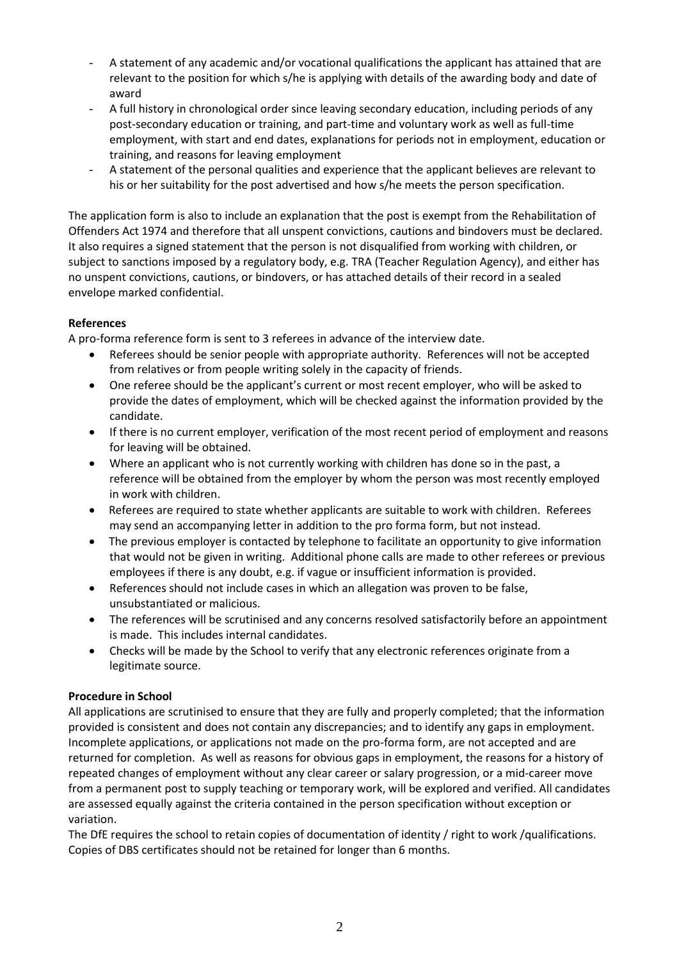- A statement of any academic and/or vocational qualifications the applicant has attained that are relevant to the position for which s/he is applying with details of the awarding body and date of award
- A full history in chronological order since leaving secondary education, including periods of any post-secondary education or training, and part-time and voluntary work as well as full-time employment, with start and end dates, explanations for periods not in employment, education or training, and reasons for leaving employment
- A statement of the personal qualities and experience that the applicant believes are relevant to his or her suitability for the post advertised and how s/he meets the person specification.

The application form is also to include an explanation that the post is exempt from the Rehabilitation of Offenders Act 1974 and therefore that all unspent convictions, cautions and bindovers must be declared. It also requires a signed statement that the person is not disqualified from working with children, or subject to sanctions imposed by a regulatory body, e.g. TRA (Teacher Regulation Agency), and either has no unspent convictions, cautions, or bindovers, or has attached details of their record in a sealed envelope marked confidential.

# **References**

A pro-forma reference form is sent to 3 referees in advance of the interview date.

- Referees should be senior people with appropriate authority. References will not be accepted from relatives or from people writing solely in the capacity of friends.
- One referee should be the applicant's current or most recent employer, who will be asked to provide the dates of employment, which will be checked against the information provided by the candidate.
- If there is no current employer, verification of the most recent period of employment and reasons for leaving will be obtained.
- Where an applicant who is not currently working with children has done so in the past, a reference will be obtained from the employer by whom the person was most recently employed in work with children.
- Referees are required to state whether applicants are suitable to work with children. Referees may send an accompanying letter in addition to the pro forma form, but not instead.
- The previous employer is contacted by telephone to facilitate an opportunity to give information that would not be given in writing. Additional phone calls are made to other referees or previous employees if there is any doubt, e.g. if vague or insufficient information is provided.
- References should not include cases in which an allegation was proven to be false, unsubstantiated or malicious.
- The references will be scrutinised and any concerns resolved satisfactorily before an appointment is made. This includes internal candidates.
- Checks will be made by the School to verify that any electronic references originate from a legitimate source.

# **Procedure in School**

All applications are scrutinised to ensure that they are fully and properly completed; that the information provided is consistent and does not contain any discrepancies; and to identify any gaps in employment. Incomplete applications, or applications not made on the pro-forma form, are not accepted and are returned for completion. As well as reasons for obvious gaps in employment, the reasons for a history of repeated changes of employment without any clear career or salary progression, or a mid-career move from a permanent post to supply teaching or temporary work, will be explored and verified. All candidates are assessed equally against the criteria contained in the person specification without exception or variation.

The DfE requires the school to retain copies of documentation of identity / right to work /qualifications. Copies of DBS certificates should not be retained for longer than 6 months.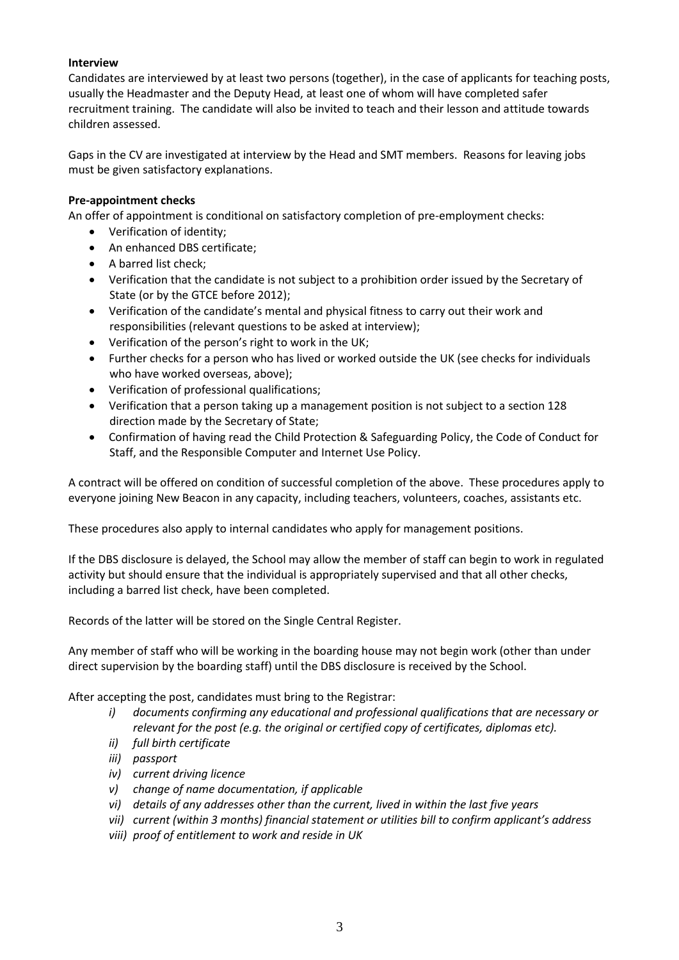# **Interview**

Candidates are interviewed by at least two persons (together), in the case of applicants for teaching posts, usually the Headmaster and the Deputy Head, at least one of whom will have completed safer recruitment training. The candidate will also be invited to teach and their lesson and attitude towards children assessed.

Gaps in the CV are investigated at interview by the Head and SMT members. Reasons for leaving jobs must be given satisfactory explanations.

# **Pre-appointment checks**

An offer of appointment is conditional on satisfactory completion of pre-employment checks:

- Verification of identity;
- An enhanced DBS certificate;
- A barred list check;
- Verification that the candidate is not subject to a prohibition order issued by the Secretary of State (or by the GTCE before 2012);
- Verification of the candidate's mental and physical fitness to carry out their work and responsibilities (relevant questions to be asked at interview);
- Verification of the person's right to work in the UK;
- Further checks for a person who has lived or worked outside the UK (see checks for individuals who have worked overseas, above);
- Verification of professional qualifications;
- Verification that a person taking up a management position is not subject to a section 128 direction made by the Secretary of State;
- Confirmation of having read the Child Protection & Safeguarding Policy, the Code of Conduct for Staff, and the Responsible Computer and Internet Use Policy.

A contract will be offered on condition of successful completion of the above. These procedures apply to everyone joining New Beacon in any capacity, including teachers, volunteers, coaches, assistants etc.

These procedures also apply to internal candidates who apply for management positions.

If the DBS disclosure is delayed, the School may allow the member of staff can begin to work in regulated activity but should ensure that the individual is appropriately supervised and that all other checks, including a barred list check, have been completed.

Records of the latter will be stored on the Single Central Register.

Any member of staff who will be working in the boarding house may not begin work (other than under direct supervision by the boarding staff) until the DBS disclosure is received by the School.

After accepting the post, candidates must bring to the Registrar:

- *i) documents confirming any educational and professional qualifications that are necessary or relevant for the post (e.g. the original or certified copy of certificates, diplomas etc).*
- *ii) full birth certificate*
- *iii) passport*
- *iv) current driving licence*
- *v) change of name documentation, if applicable*
- *vi) details of any addresses other than the current, lived in within the last five years*
- *vii) current (within 3 months) financial statement or utilities bill to confirm applicant's address*
- *viii) proof of entitlement to work and reside in UK*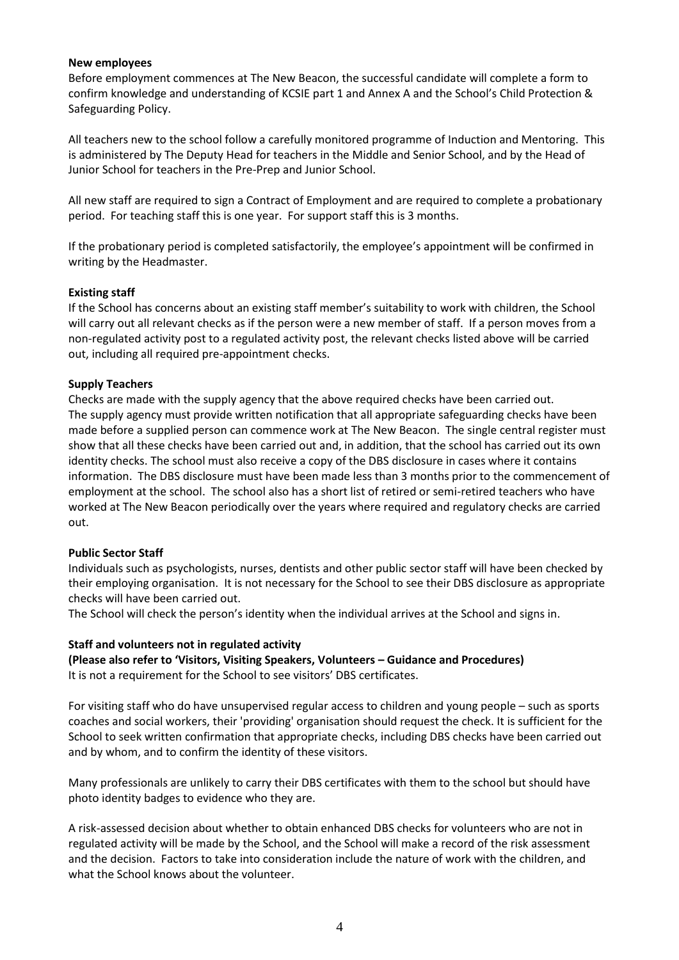#### **New employees**

Before employment commences at The New Beacon, the successful candidate will complete a form to confirm knowledge and understanding of KCSIE part 1 and Annex A and the School's Child Protection & Safeguarding Policy.

All teachers new to the school follow a carefully monitored programme of Induction and Mentoring. This is administered by The Deputy Head for teachers in the Middle and Senior School, and by the Head of Junior School for teachers in the Pre-Prep and Junior School.

All new staff are required to sign a Contract of Employment and are required to complete a probationary period. For teaching staff this is one year. For support staff this is 3 months.

If the probationary period is completed satisfactorily, the employee's appointment will be confirmed in writing by the Headmaster.

#### **Existing staff**

If the School has concerns about an existing staff member's suitability to work with children, the School will carry out all relevant checks as if the person were a new member of staff. If a person moves from a non-regulated activity post to a regulated activity post, the relevant checks listed above will be carried out, including all required pre-appointment checks.

#### **Supply Teachers**

Checks are made with the supply agency that the above required checks have been carried out. The supply agency must provide written notification that all appropriate safeguarding checks have been made before a supplied person can commence work at The New Beacon. The single central register must show that all these checks have been carried out and, in addition, that the school has carried out its own identity checks. The school must also receive a copy of the DBS disclosure in cases where it contains information. The DBS disclosure must have been made less than 3 months prior to the commencement of employment at the school. The school also has a short list of retired or semi-retired teachers who have worked at The New Beacon periodically over the years where required and regulatory checks are carried out.

#### **Public Sector Staff**

Individuals such as psychologists, nurses, dentists and other public sector staff will have been checked by their employing organisation. It is not necessary for the School to see their DBS disclosure as appropriate checks will have been carried out.

The School will check the person's identity when the individual arrives at the School and signs in.

#### **Staff and volunteers not in regulated activity**

**(Please also refer to 'Visitors, Visiting Speakers, Volunteers – Guidance and Procedures)** It is not a requirement for the School to see visitors' DBS certificates.

For visiting staff who do have unsupervised regular access to children and young people – such as sports coaches and social workers, their 'providing' organisation should request the check. It is sufficient for the School to seek written confirmation that appropriate checks, including DBS checks have been carried out and by whom, and to confirm the identity of these visitors.

Many professionals are unlikely to carry their DBS certificates with them to the school but should have photo identity badges to evidence who they are.

A risk-assessed decision about whether to obtain enhanced DBS checks for volunteers who are not in regulated activity will be made by the School, and the School will make a record of the risk assessment and the decision. Factors to take into consideration include the nature of work with the children, and what the School knows about the volunteer.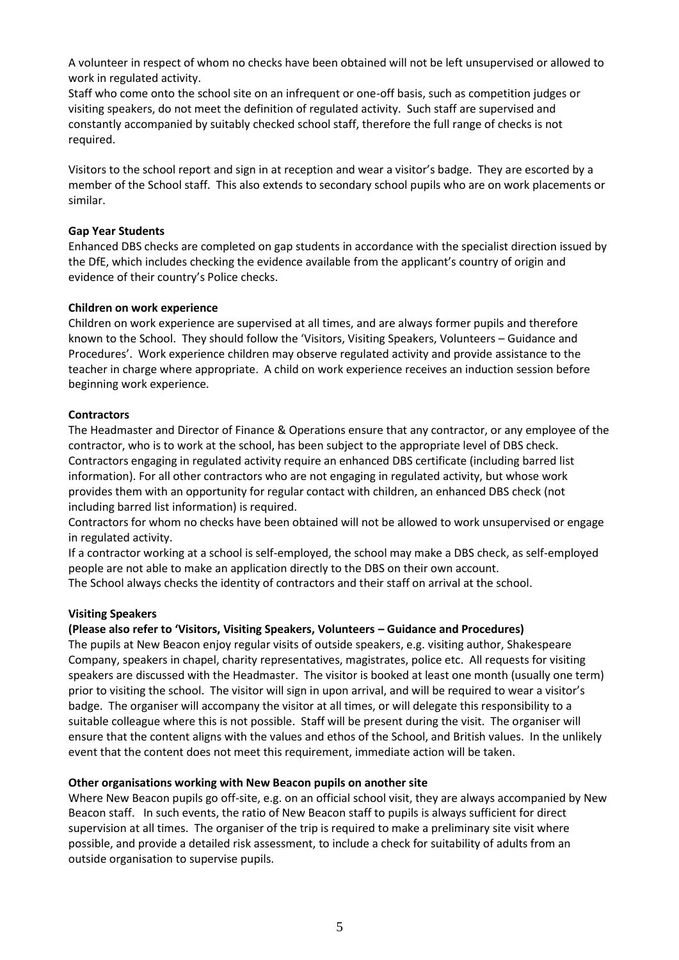A volunteer in respect of whom no checks have been obtained will not be left unsupervised or allowed to work in regulated activity.

Staff who come onto the school site on an infrequent or one-off basis, such as competition judges or visiting speakers, do not meet the definition of regulated activity. Such staff are supervised and constantly accompanied by suitably checked school staff, therefore the full range of checks is not required.

Visitors to the school report and sign in at reception and wear a visitor's badge. They are escorted by a member of the School staff. This also extends to secondary school pupils who are on work placements or similar.

#### **Gap Year Students**

Enhanced DBS checks are completed on gap students in accordance with the specialist direction issued by the DfE, which includes checking the evidence available from the applicant's country of origin and evidence of their country's Police checks.

# **Children on work experience**

Children on work experience are supervised at all times, and are always former pupils and therefore known to the School. They should follow the 'Visitors, Visiting Speakers, Volunteers – Guidance and Procedures'. Work experience children may observe regulated activity and provide assistance to the teacher in charge where appropriate. A child on work experience receives an induction session before beginning work experience.

# **Contractors**

The Headmaster and Director of Finance & Operations ensure that any contractor, or any employee of the contractor, who is to work at the school, has been subject to the appropriate level of DBS check. Contractors engaging in regulated activity require an enhanced DBS certificate (including barred list information). For all other contractors who are not engaging in regulated activity, but whose work provides them with an opportunity for regular contact with children, an enhanced DBS check (not including barred list information) is required.

Contractors for whom no checks have been obtained will not be allowed to work unsupervised or engage in regulated activity.

If a contractor working at a school is self-employed, the school may make a DBS check, as self-employed people are not able to make an application directly to the DBS on their own account. The School always checks the identity of contractors and their staff on arrival at the school.

#### **Visiting Speakers**

# **(Please also refer to 'Visitors, Visiting Speakers, Volunteers – Guidance and Procedures)**

The pupils at New Beacon enjoy regular visits of outside speakers, e.g. visiting author, Shakespeare Company, speakers in chapel, charity representatives, magistrates, police etc. All requests for visiting speakers are discussed with the Headmaster. The visitor is booked at least one month (usually one term) prior to visiting the school. The visitor will sign in upon arrival, and will be required to wear a visitor's badge. The organiser will accompany the visitor at all times, or will delegate this responsibility to a suitable colleague where this is not possible. Staff will be present during the visit. The organiser will ensure that the content aligns with the values and ethos of the School, and British values. In the unlikely event that the content does not meet this requirement, immediate action will be taken.

#### **Other organisations working with New Beacon pupils on another site**

Where New Beacon pupils go off-site, e.g. on an official school visit, they are always accompanied by New Beacon staff. In such events, the ratio of New Beacon staff to pupils is always sufficient for direct supervision at all times. The organiser of the trip is required to make a preliminary site visit where possible, and provide a detailed risk assessment, to include a check for suitability of adults from an outside organisation to supervise pupils.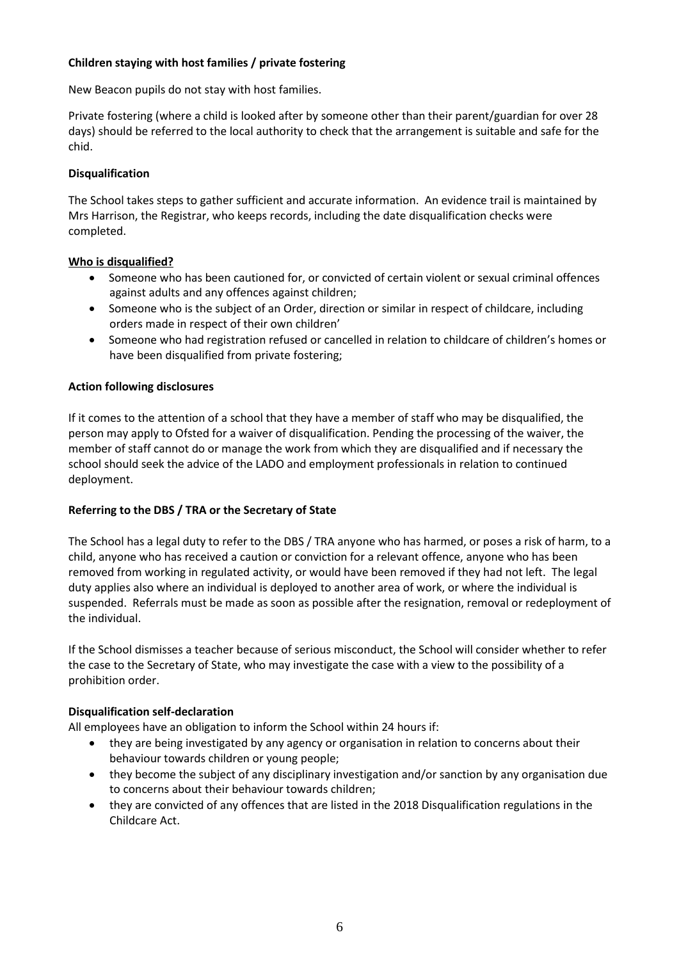# **Children staying with host families / private fostering**

New Beacon pupils do not stay with host families.

Private fostering (where a child is looked after by someone other than their parent/guardian for over 28 days) should be referred to the local authority to check that the arrangement is suitable and safe for the chid.

# **Disqualification**

The School takes steps to gather sufficient and accurate information. An evidence trail is maintained by Mrs Harrison, the Registrar, who keeps records, including the date disqualification checks were completed.

# **Who is disqualified?**

- Someone who has been cautioned for, or convicted of certain violent or sexual criminal offences against adults and any offences against children;
- Someone who is the subject of an Order, direction or similar in respect of childcare, including orders made in respect of their own children'
- Someone who had registration refused or cancelled in relation to childcare of children's homes or have been disqualified from private fostering;

# **Action following disclosures**

If it comes to the attention of a school that they have a member of staff who may be disqualified, the person may apply to Ofsted for a waiver of disqualification. Pending the processing of the waiver, the member of staff cannot do or manage the work from which they are disqualified and if necessary the school should seek the advice of the LADO and employment professionals in relation to continued deployment.

#### **Referring to the DBS / TRA or the Secretary of State**

The School has a legal duty to refer to the DBS / TRA anyone who has harmed, or poses a risk of harm, to a child, anyone who has received a caution or conviction for a relevant offence, anyone who has been removed from working in regulated activity, or would have been removed if they had not left. The legal duty applies also where an individual is deployed to another area of work, or where the individual is suspended. Referrals must be made as soon as possible after the resignation, removal or redeployment of the individual.

If the School dismisses a teacher because of serious misconduct, the School will consider whether to refer the case to the Secretary of State, who may investigate the case with a view to the possibility of a prohibition order.

#### **Disqualification self-declaration**

All employees have an obligation to inform the School within 24 hours if:

- they are being investigated by any agency or organisation in relation to concerns about their behaviour towards children or young people;
- they become the subject of any disciplinary investigation and/or sanction by any organisation due to concerns about their behaviour towards children;
- they are convicted of any offences that are listed in the 2018 Disqualification regulations in the Childcare Act.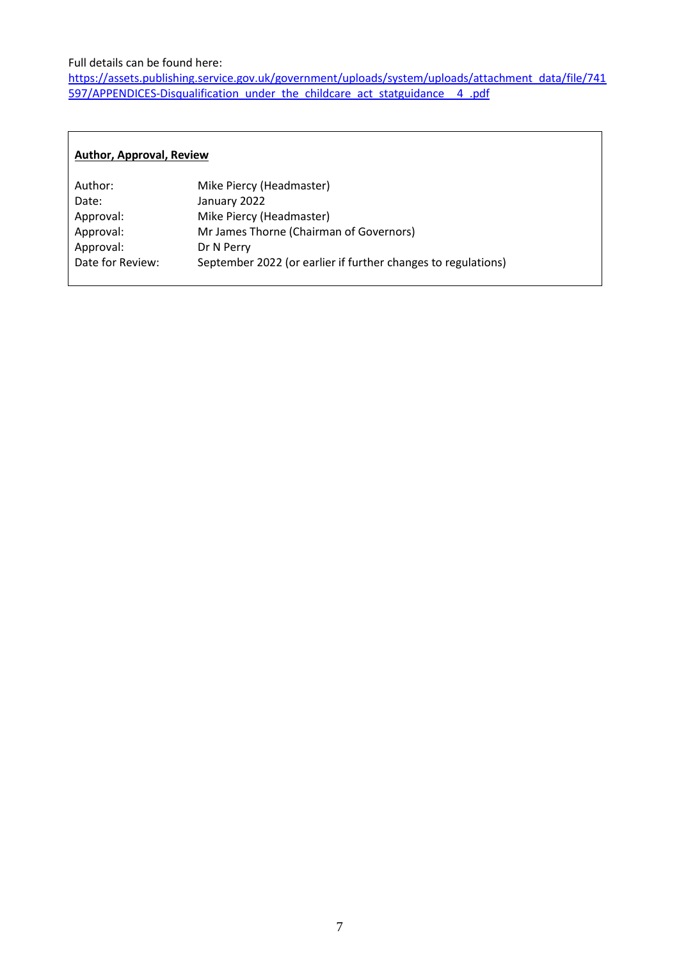# Full details can be found here:

[https://assets.publishing.service.gov.uk/government/uploads/system/uploads/attachment\\_data/file/741](https://assets.publishing.service.gov.uk/government/uploads/system/uploads/attachment_data/file/741597/APPENDICES-Disqualification_under_the_childcare_act_statguidance__4_.pdf) [597/APPENDICES-Disqualification\\_under\\_the\\_childcare\\_act\\_statguidance\\_\\_4\\_.pdf](https://assets.publishing.service.gov.uk/government/uploads/system/uploads/attachment_data/file/741597/APPENDICES-Disqualification_under_the_childcare_act_statguidance__4_.pdf)

#### **Author, Approval, Review**

| Author:          | Mike Piercy (Headmaster)                                      |
|------------------|---------------------------------------------------------------|
| Date:            | January 2022                                                  |
| Approval:        | Mike Piercy (Headmaster)                                      |
| Approval:        | Mr James Thorne (Chairman of Governors)                       |
| Approval:        | Dr N Perry                                                    |
| Date for Review: | September 2022 (or earlier if further changes to regulations) |